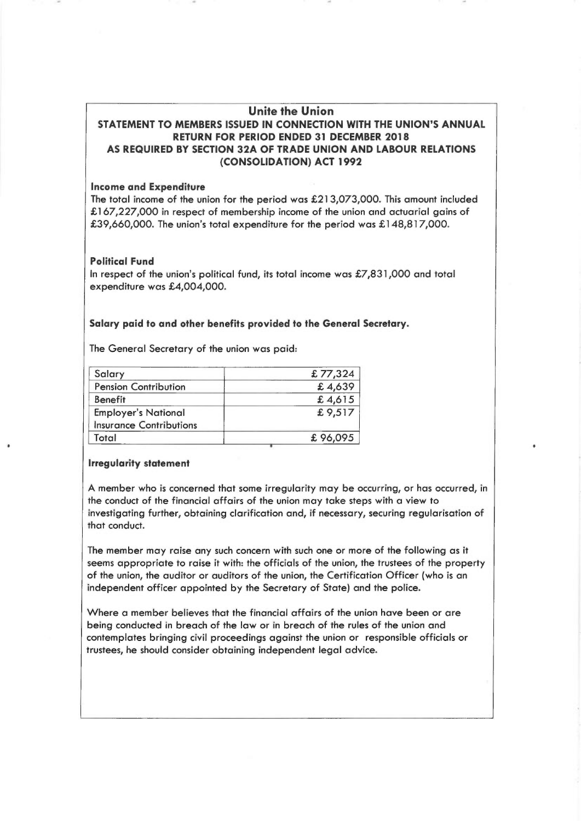# Unite the Union STATEMENT TO MEMBERS ISSUED IN CONNECTION WITH THE UNION'S ANNUAL RETURN FOR PERIOD ENDED 31 DECEMBER 2018 AS REQUIRED BY SECTION 32A OF TRADE UNION AND LABOUR RELATIONS (CONSOLIDATION) ACT 1992

### **Income and Expenditure**

The total income of the union for the period was  $£213,073,000$ . This amount included £167,227,000 in respect of membership income of the union and actuarial gains of £39,660,000. The union's total expenditure for the period was £148,817,000.

# Political Fund

In respect of the union's political fund, its total income was  $\pounds$ 7,831,000 and total expenditure was £4,004,000.

# Salary paid to and other benefits provided to the General Secretary.

The General Secretary of the union was paid:

| Salary                         | £77,324 |
|--------------------------------|---------|
| <b>Pension Contribution</b>    | £4,639  |
| <b>Benefit</b>                 | £4,615  |
| <b>Employer's National</b>     | £9,517  |
| <b>Insurance Contributions</b> |         |
| Total                          | £96,095 |

# Irregularity statement

A member who is concerned that some irregularity may be occurring, or has occurred, in the conduct of the financial affairs of the union may take steps with a view to investigating further, obtaining clarification and, if necessary, securing regularisation of that conduct.

The member may raise any such concern with such one or more of the following as it seems appropriate to raise it with: the officials of the union, the trustees of the property of the union, the auditor or auditors of the union, the Certification Officer (who is an independent officer appointed by the Secretary of State) and the police.

Where a member believes that the financial affairs of the union have been or are being conducted in breach of the law or in breach of the rules of the union and contemplates bringing civil proceedings against the union or responsible officials or trustees, he should consider obtaining independent legal advice.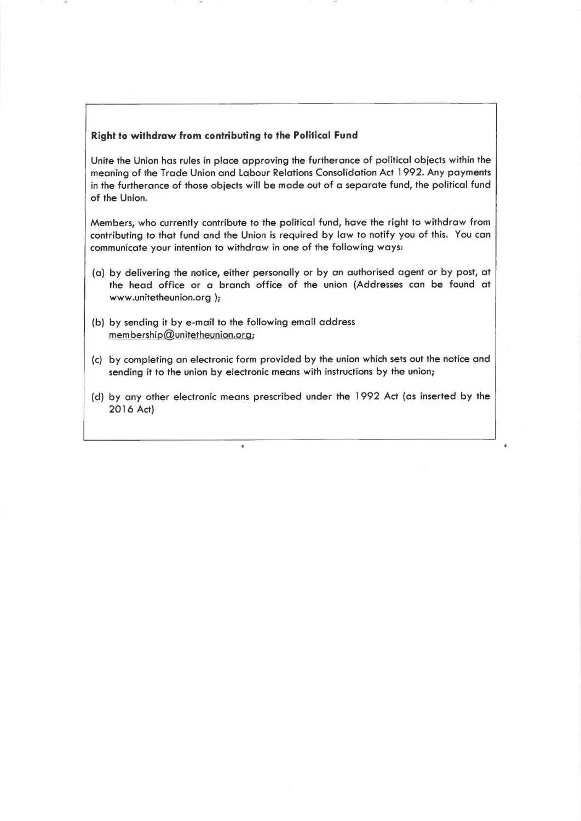### Right to withdraw from contributing to the Political Fund

Unite the Union has rules in place approving the furtherance of political objects within the meaning of the Trade Union and Labour Relations Consolidation Act 1992. Any payments in the furtherance of those objects will be made out of a separate fund, the political fund of the Union.

Members, who currently contribute to the political fund, have the right to withdraw from contributing to that fund and the Union is required by law to notify you of this. You can communicate your intention to withdraw in one of the following ways:

- (a) by delivering the notice, either personally or by an authorised agent or by post, at the head office or a branch office of the union (Addresses can be found at www.unitetheunion.org );
- (b) by sending it by e-mail to the following email address  $m$ embership $@$ unitetheunion.org;

 $\delta$ 

- (c) by completing an electronic form provided by the union which sets out the notice and sending it to the union by electronic means with instructions by the union;
- (d) by any other electronic means prescribed under the 1992 Act (as inserted by the 2016 Act)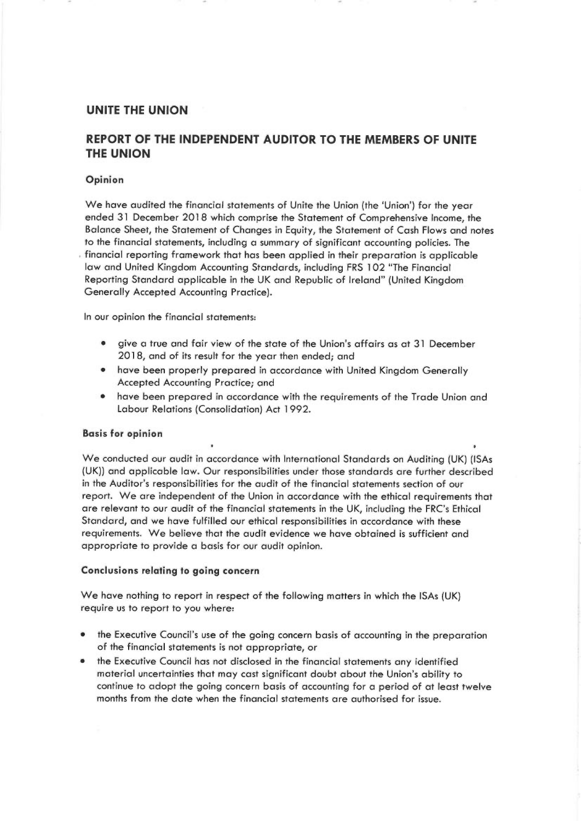# UNITE THE UNION

# REPORT OF THE INDEPENDENT AUDITOR TO THE MEMBERS OF UNITE THE UNION

#### Opinion

We have audited the financial statements of Unite the Union (the 'Union') for the year ended 31 December 2018 which comprise the Statement of Comprehensive Income, the Balance Sheet, the Statement of Changes in Equity, the Statement of Cash Flows and notes to the financial statements, including a summary of significant accounting policies. The financial reporting framework that has been applied in their preparation is applicable law and United Kingdom Accounting Standards, including FRS 102 "The Financial Reporting Standard applicable in the UK and Republic of Ireland" (United Kingdom Generally Accepted Accounting Practice).

In our opinion the financial statements:

- give a true and fair view of the state of the Union's affairs as at 31 December 2018, and of its result for the year then ended; and
- have been properly prepared in accordance with United Kingdom Generally Accepted Accounting Practice; and
- have been prepared in accordance with the requirements of the Trade Union and Labour Relations (Consolidation) Act 1 992.

### Basis for opinion

We conducted our audit in accordance with International Standards on Auditing (UK) (ISAs (UK)) and applicable law, Our responsibilities under those standards are further described in the Auditor's responsibilities for the audit of the financial statements section of our report. We are independent of the Union in accordance with the ethical requirements that are relevant to our audit of the financial statements in the UK, including the FRC's Ethical Standard, and we have fulfilled our ethical responsibilities in accordance with these requirements. We believe that the audit evidence we have obtained is sufficient and appropriate to provide a basis for our audit opinion.

### Conclusions relating to going concern

We have nothing to report in respect of the following matters in which the ISAs (UK) require us to report to you where:

- the Executive Council's use of the going concern basis of accounting in the preparation of the financial statements is not appropriate, or
- the Executive Council has not disclosed in the financial statements any identified material uncertainties that may cast significant doubt about the Union's ability to continue to adopt the going concern basis of accounting for a period of at least twelve months from the date when the financial statements are authorised for issue.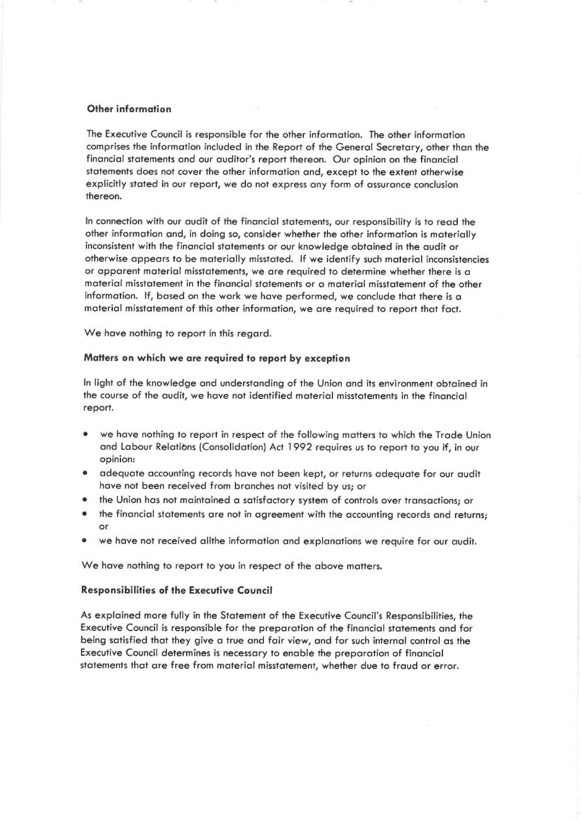#### Other information

<sup>T</sup>he Executive Council is responsible for the other information. The other information <sup>c</sup>omprises the information included in the Report of the General Secretary, other than the <sup>f</sup>inancial statements and our auditor's report thereon. Our opinion on the financipl <sup>s</sup>tatements does not cover the other information and, except to the extent otherwise explicitly stated in our report, we do not express any form of assurance conclusion thereon.

In connection with our audit of the financial statements, our responsibility is to read the <sup>o</sup>ther information and, in doing so, consider whether the other information is materially inconsistent with the financial statements or our knowledge obtained in the audit or <sup>o</sup>therwise appears to be materially misstated. If we identify such material inconsistencies or apparent material misstatements, we are required to determine whether there is a <sup>m</sup>aterial misstatement in the financial statements or a material misstatement of the other information. If, based on the work we have performed, we conclude that there is <sup>a</sup> <sup>m</sup>aterial misstatement of this other information, we are required to report that fact.

<sup>W</sup>e have nothing to report in this regard.

#### <sup>M</sup>atters on which we are required to report by exception

In light of the knowledge and understanding of the Union and its environment obtained in the course of the audit, we have not identified material misstatements in the financial <sup>r</sup>eport.

- • we have nothing to report in respect of the following matters to which the Trade Union <sup>a</sup>nd Labour Relations (Consolidation) Act 1 992 requires us to report to you if, in our <sup>o</sup>pinion:
- • adequate accounting records have not been kept, or returns adequate for our audit have not been received from branches not visited by us; or
- •the Union has not maintained a satisfactory system of controls over transactions; or
- • the financial statements are not in agreement with the accounting records and returns; or
- •we have not received allthe information and explanations we require for our audit.

We have nothing to report to you in respect of the above matters.

#### <sup>R</sup>esponsibilities of the Executive Council

As explained more fully in the Statement of the Executive Council's Responsibilities, the <sup>E</sup>xecutive Council is responsible for the preparation of the financial statements and for being satisfied that they give a true and fair view, and for such internal control as the <sup>E</sup>xecutive Council determines is necessary to enable the preparation of financial statements that are free from material misstatement, whether due to fraud or error,